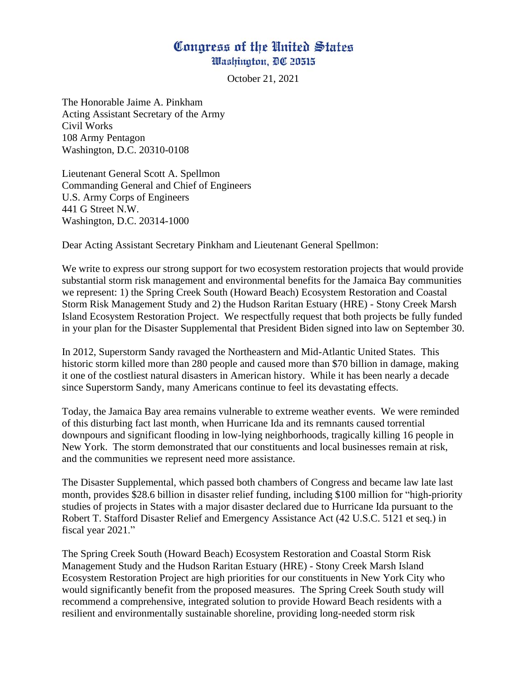## Congress of the United States Washington, DC 20515

October 21, 2021

The Honorable Jaime A. Pinkham Acting Assistant Secretary of the Army Civil Works 108 Army Pentagon Washington, D.C. 20310-0108

Lieutenant General Scott A. Spellmon Commanding General and Chief of Engineers U.S. Army Corps of Engineers 441 G Street N.W. Washington, D.C. 20314-1000

Dear Acting Assistant Secretary Pinkham and Lieutenant General Spellmon:

We write to express our strong support for two ecosystem restoration projects that would provide substantial storm risk management and environmental benefits for the Jamaica Bay communities we represent: 1) the Spring Creek South (Howard Beach) Ecosystem Restoration and Coastal Storm Risk Management Study and 2) the Hudson Raritan Estuary (HRE) - Stony Creek Marsh Island Ecosystem Restoration Project. We respectfully request that both projects be fully funded in your plan for the Disaster Supplemental that President Biden signed into law on September 30.

In 2012, Superstorm Sandy ravaged the Northeastern and Mid-Atlantic United States. This historic storm killed more than 280 people and caused more than \$70 billion in damage, making it one of the costliest natural disasters in American history. While it has been nearly a decade since Superstorm Sandy, many Americans continue to feel its devastating effects.

Today, the Jamaica Bay area remains vulnerable to extreme weather events. We were reminded of this disturbing fact last month, when Hurricane Ida and its remnants caused torrential downpours and significant flooding in low-lying neighborhoods, tragically killing 16 people in New York. The storm demonstrated that our constituents and local businesses remain at risk, and the communities we represent need more assistance.

The Disaster Supplemental, which passed both chambers of Congress and became law late last month, provides \$28.6 billion in disaster relief funding, including \$100 million for "high-priority studies of projects in States with a major disaster declared due to Hurricane Ida pursuant to the Robert T. Stafford Disaster Relief and Emergency Assistance Act (42 U.S.C. 5121 et seq.) in fiscal year 2021."

The Spring Creek South (Howard Beach) Ecosystem Restoration and Coastal Storm Risk Management Study and the Hudson Raritan Estuary (HRE) - Stony Creek Marsh Island Ecosystem Restoration Project are high priorities for our constituents in New York City who would significantly benefit from the proposed measures. The Spring Creek South study will recommend a comprehensive, integrated solution to provide Howard Beach residents with a resilient and environmentally sustainable shoreline, providing long-needed storm risk